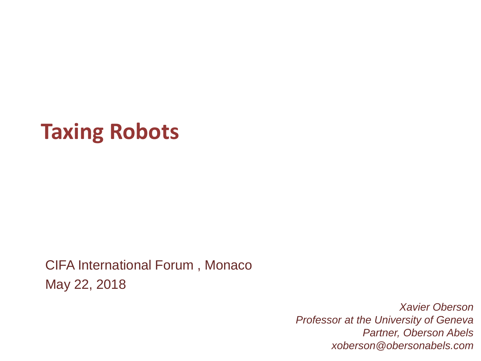# **Taxing Robots**

CIFA International Forum , Monaco May 22, 2018

> *Xavier Oberson Professor at the University of Geneva Partner, Oberson Abels xoberson@obersonabels.com*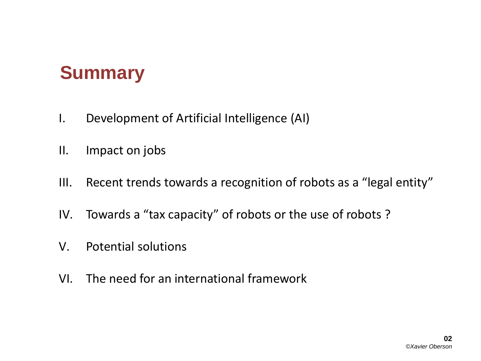#### **Summary**

- I. Development of Artificial Intelligence (AI)
- II. Impact on jobs
- III. Recent trends towards a recognition of robots as a "legal entity"
- IV. Towards a "tax capacity" of robots or the use of robots ?
- V. Potential solutions
- VI. The need for an international framework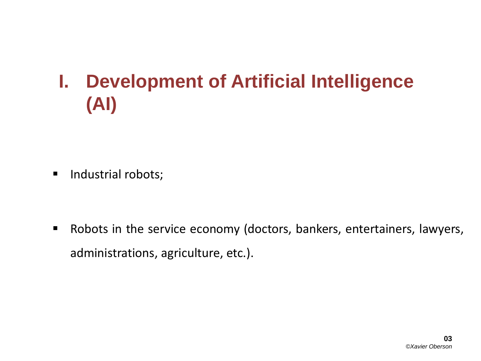## **I. Development of Artificial Intelligence (AI)**

**Industrial robots;** 

 Robots in the service economy (doctors, bankers, entertainers, lawyers, administrations, agriculture, etc.).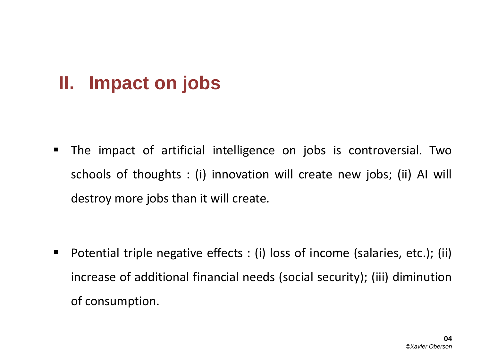#### **II. Impact on jobs**

 The impact of artificial intelligence on jobs is controversial. Two schools of thoughts : (i) innovation will create new jobs; (ii) AI will destroy more jobs than it will create.

■ Potential triple negative effects : (i) loss of income (salaries, etc.); (ii) increase of additional financial needs (social security); (iii) diminution of consumption.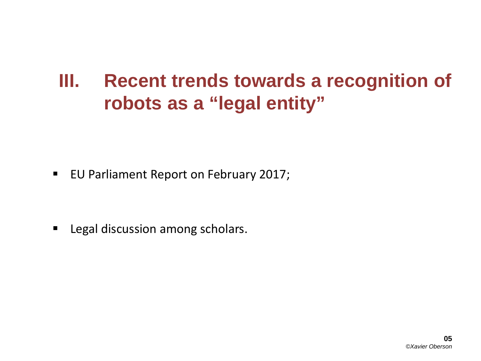#### **III. Recent trends towards a recognition of robots as a "legal entity"**

**EU Parliament Report on February 2017;** 

**Earth Legal discussion among scholars.**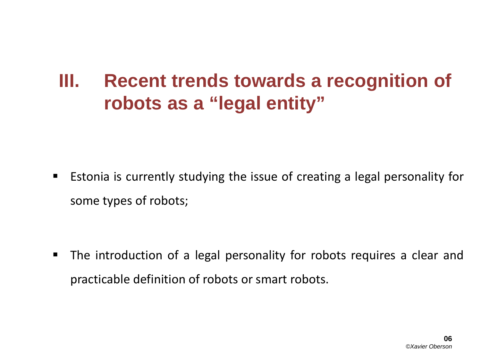#### **III. Recent trends towards a recognition of robots as a "legal entity"**

**E** Estonia is currently studying the issue of creating a legal personality for some types of robots;

 The introduction of a legal personality for robots requires a clear and practicable definition of robots or smart robots.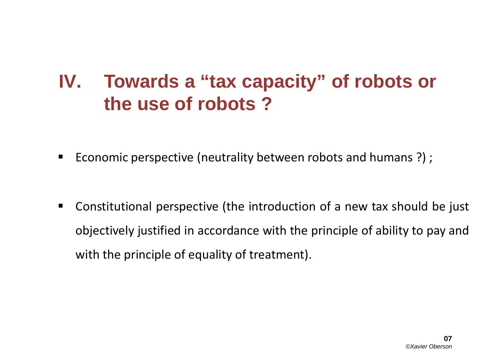#### **IV. Towards a "tax capacity" of robots or the use of robots ?**

- Economic perspective (neutrality between robots and humans ?);
- Constitutional perspective (the introduction of a new tax should be just objectively justified in accordance with the principle of ability to pay and with the principle of equality of treatment).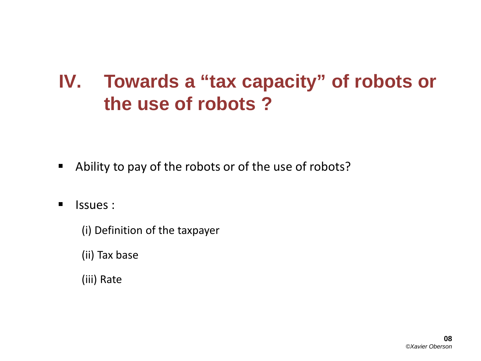#### **IV. Towards a "tax capacity" of robots or the use of robots ?**

- Ability to pay of the robots or of the use of robots?
- **I** Issues :
	- (i) Definition of the taxpayer
	- (ii) Tax base
	- (iii) Rate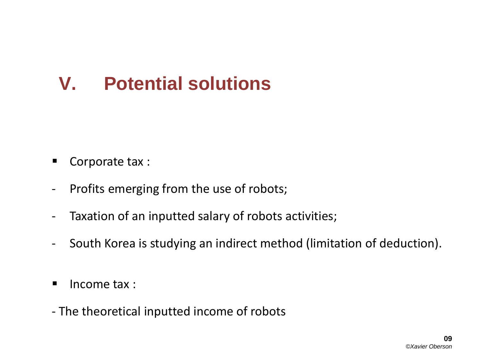### **V. Potential solutions**

- Corporate tax :
- Profits emerging from the use of robots;
- Taxation of an inputted salary of robots activities;
- South Korea is studying an indirect method (limitation of deduction).
- $\blacksquare$  Income tax :
- The theoretical inputted income of robots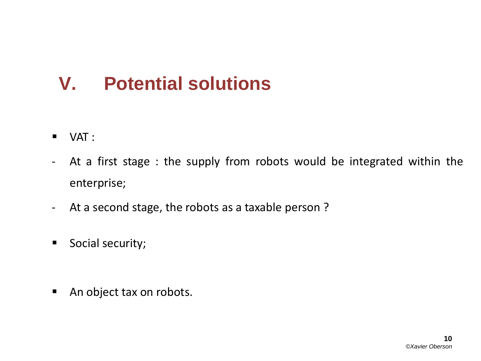### **V. Potential solutions**

- $\blacksquare$  VAT :
- At a first stage : the supply from robots would be integrated within the enterprise;
- At a second stage, the robots as a taxable person ?
- **Social security;**
- An object tax on robots.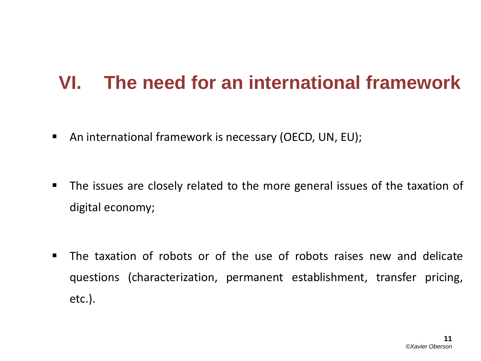#### **VI. The need for an international framework**

- An international framework is necessary (OECD, UN, EU);
- **The issues are closely related to the more general issues of the taxation of** digital economy;
- The taxation of robots or of the use of robots raises new and delicate questions (characterization, permanent establishment, transfer pricing, etc.).